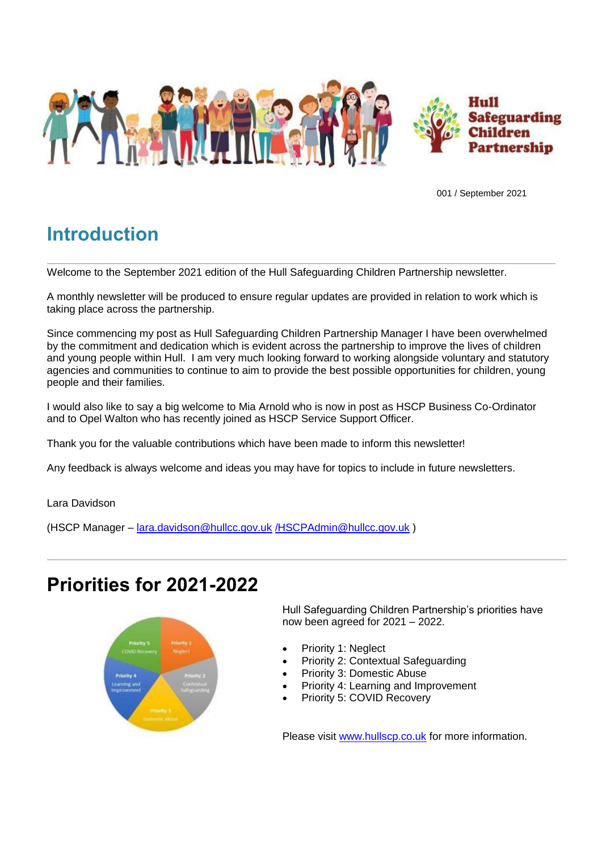

001 / September 2021

# **Introduction**

Welcome to the September 2021 edition of the Hull Safeguarding Children Partnership newsletter.

A monthly newsletter will be produced to ensure regular updates are provided in relation to work which is taking place across the partnership.

Since commencing my post as Hull Safeguarding Children Partnership Manager I have been overwhelmed by the commitment and dedication which is evident across the partnership to improve the lives of children and young people within Hull. I am very much looking forward to working alongside voluntary and statutory agencies and communities to continue to aim to provide the best possible opportunities for children, young people and their families.

I would also like to say a big welcome to Mia Arnold who is now in post as HSCP Business Co-Ordinator and to Opel Walton who has recently joined as HSCP Service Support Officer.

Thank you for the valuable contributions which have been made to inform this newsletter!

Any feedback is always welcome and ideas you may have for topics to include in future newsletters.

Lara Davidson

(HSCP Manager – [lara.davidson@hullcc.gov.uk](mailto:lara.davidson@hullcc.gov.uk) [/HSCPAdmin@hullcc.gov.uk](mailto:/HSCPAdmin@hullcc.gov.uk) )

## **Priorities for 2021-2022**



Hull Safeguarding Children Partnership's priorities have now been agreed for 2021 – 2022.

- Priority 1: Neglect
- Priority 2: Contextual Safeguarding
- Priority 3: Domestic Abuse
- Priority 4: Learning and Improvement
- Priority 5: COVID Recovery

Please visit [www.hullscp.co.uk](http://www.hullscp.co.uk/) for more information.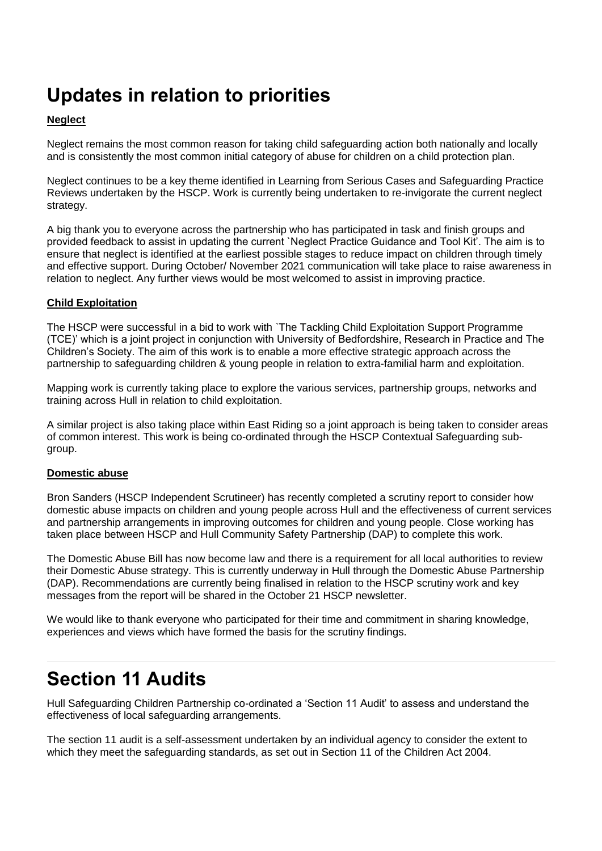# **Updates in relation to priorities**

#### **Neglect**

Neglect remains the most common reason for taking child safeguarding action both nationally and locally and is consistently the most common initial category of abuse for children on a child protection plan.

Neglect continues to be a key theme identified in Learning from Serious Cases and Safeguarding Practice Reviews undertaken by the HSCP. Work is currently being undertaken to re-invigorate the current neglect strategy.

A big thank you to everyone across the partnership who has participated in task and finish groups and provided feedback to assist in updating the current `Neglect Practice Guidance and Tool Kit'. The aim is to ensure that neglect is identified at the earliest possible stages to reduce impact on children through timely and effective support. During October/ November 2021 communication will take place to raise awareness in relation to neglect. Any further views would be most welcomed to assist in improving practice.

#### **Child Exploitation**

The HSCP were successful in a bid to work with `The Tackling Child Exploitation Support Programme (TCE)' which is a joint project in conjunction with University of Bedfordshire, Research in Practice and The Children's Society. The aim of this work is to enable a more effective strategic approach across the partnership to safeguarding children & young people in relation to extra-familial harm and exploitation.

Mapping work is currently taking place to explore the various services, partnership groups, networks and training across Hull in relation to child exploitation.

A similar project is also taking place within East Riding so a joint approach is being taken to consider areas of common interest. This work is being co-ordinated through the HSCP Contextual Safeguarding subgroup.

#### **Domestic abuse**

Bron Sanders (HSCP Independent Scrutineer) has recently completed a scrutiny report to consider how domestic abuse impacts on children and young people across Hull and the effectiveness of current services and partnership arrangements in improving outcomes for children and young people. Close working has taken place between HSCP and Hull Community Safety Partnership (DAP) to complete this work.

The Domestic Abuse Bill has now become law and there is a requirement for all local authorities to review their Domestic Abuse strategy. This is currently underway in Hull through the Domestic Abuse Partnership (DAP). Recommendations are currently being finalised in relation to the HSCP scrutiny work and key messages from the report will be shared in the October 21 HSCP newsletter.

We would like to thank everyone who participated for their time and commitment in sharing knowledge, experiences and views which have formed the basis for the scrutiny findings.

## **Section 11 Audits**

Hull Safeguarding Children Partnership co-ordinated a 'Section 11 Audit' to assess and understand the effectiveness of local safeguarding arrangements.

The section 11 audit is a self-assessment undertaken by an individual agency to consider the extent to which they meet the safeguarding standards, as set out in Section 11 of the Children Act 2004.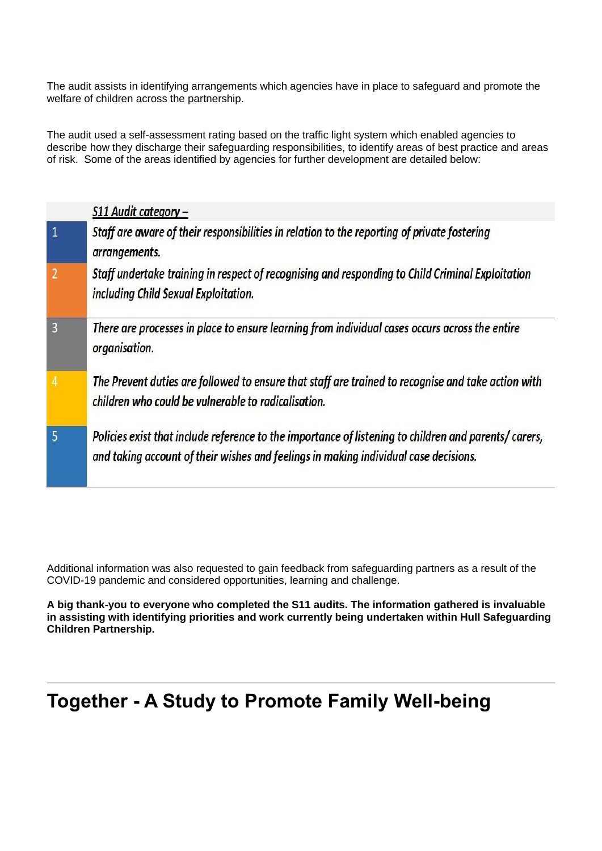The audit assists in identifying arrangements which agencies have in place to safeguard and promote the welfare of children across the partnership.

The audit used a self-assessment rating based on the traffic light system which enabled agencies to describe how they discharge their safeguarding responsibilities, to identify areas of best practice and areas of risk. Some of the areas identified by agencies for further development are detailed below:

|                | S11 Audit category -                                                                                                                                                                         |
|----------------|----------------------------------------------------------------------------------------------------------------------------------------------------------------------------------------------|
| $\overline{1}$ | Staff are aware of their responsibilities in relation to the reporting of private fostering<br>arrangements.                                                                                 |
| $\overline{2}$ | Staff undertake training in respect of recognising and responding to Child Criminal Exploitation<br>including Child Sexual Exploitation.                                                     |
| $\overline{3}$ | There are processes in place to ensure learning from individual cases occurs across the entire<br>organisation.                                                                              |
|                | The Prevent duties are followed to ensure that staff are trained to recognise and take action with<br>children who could be vulnerable to radicalisation.                                    |
| 5              | Policies exist that include reference to the importance of listening to children and parents/carers,<br>and taking account of their wishes and feelings in making individual case decisions. |

Additional information was also requested to gain feedback from safeguarding partners as a result of the COVID-19 pandemic and considered opportunities, learning and challenge.

**A big thank-you to everyone who completed the S11 audits. The information gathered is invaluable in assisting with identifying priorities and work currently being undertaken within Hull Safeguarding Children Partnership.**

## **Together - A Study to Promote Family Well-being**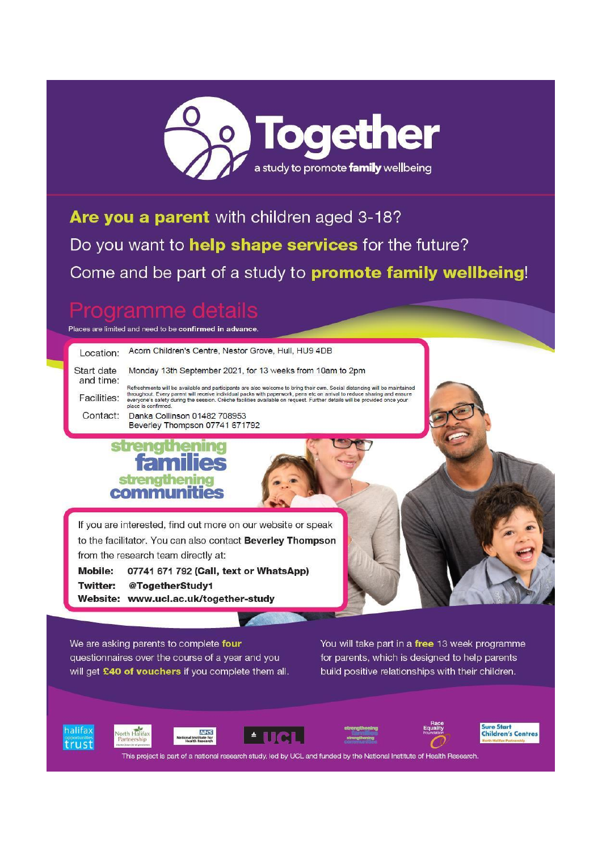

Are you a parent with children aged 3-18? Do you want to help shape services for the future? Come and be part of a study to **promote family wellbeing!** 

## **oramme**

Places are limited and need to be confirmed in advance.

| Location:                                                                                                                         | Acorn Children's Centre, Nestor Grove, Hull, HU9 4DB                                                                                                                                                                                                                                                                                                                                                    |  |
|-----------------------------------------------------------------------------------------------------------------------------------|---------------------------------------------------------------------------------------------------------------------------------------------------------------------------------------------------------------------------------------------------------------------------------------------------------------------------------------------------------------------------------------------------------|--|
| Start date<br>and time:                                                                                                           | Monday 13th September 2021, for 13 weeks from 10am to 2pm                                                                                                                                                                                                                                                                                                                                               |  |
| Facilities:                                                                                                                       | Refreshments will be available and participants are also welcome to bring their own. Social distancing will be maintained<br>throughout. Every parent will receive individual packs with paperwork, pens etc on arrival to reduce sharing and ensure<br>everyone's safety during the session. Crèche facilities available on request. Further details will be provided once your<br>place is confirmed. |  |
| Contact:                                                                                                                          | Danka Collinson 01482 708953<br>Beverley Thompson 07741 671792                                                                                                                                                                                                                                                                                                                                          |  |
|                                                                                                                                   | <b>families</b><br>strengthening<br>communities                                                                                                                                                                                                                                                                                                                                                         |  |
| If you are interested, find out more on our website or speak<br>to the facilitator. You can also contact <b>Beverley Thompson</b> |                                                                                                                                                                                                                                                                                                                                                                                                         |  |
| from the research team directly at:                                                                                               |                                                                                                                                                                                                                                                                                                                                                                                                         |  |
| <b>Mobile:</b>                                                                                                                    | 07741 671 792 (Call, text or WhatsApp)                                                                                                                                                                                                                                                                                                                                                                  |  |
| <b>Twitter:</b>                                                                                                                   | @TogetherStudy1<br>Website: www.ucl.ac.uk/together-study                                                                                                                                                                                                                                                                                                                                                |  |
|                                                                                                                                   |                                                                                                                                                                                                                                                                                                                                                                                                         |  |

We are asking parents to complete four questionnaires over the course of a year and you will get £40 of vouchers if you complete them all.

**NHS**<br>itute for

You will take part in a **free** 13 week programme for parents, which is designed to help parents build positive relationships with their children.













Sure Start<br>Children's Centres

This project is part of a national research study, led by UCL and funded by the National Institute of Health Research.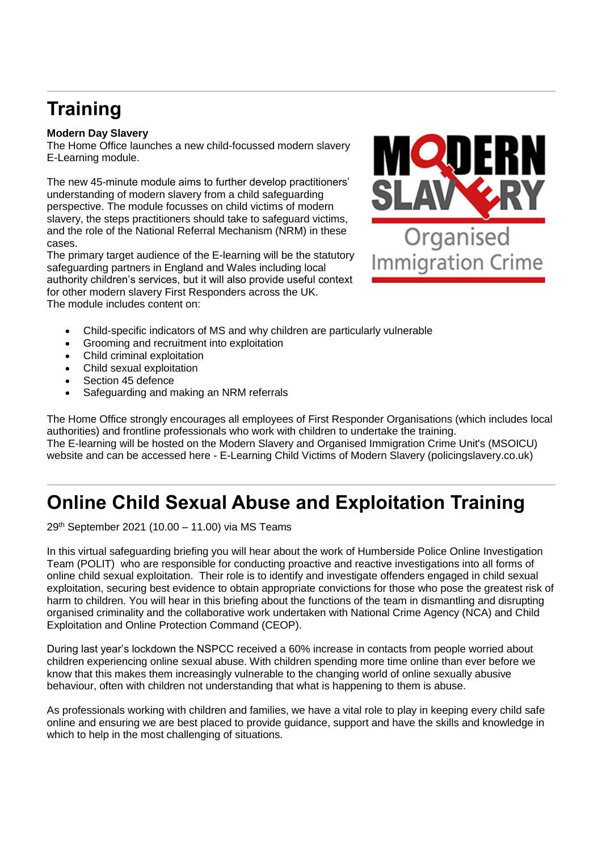# **Training**

#### **Modern Day Slavery**

The Home Office launches a new child-focussed modern slavery E-Learning module.

The new 45-minute module aims to further develop practitioners' understanding of modern slavery from a child safeguarding perspective. The module focusses on child victims of modern slavery, the steps practitioners should take to safeguard victims, and the role of the National Referral Mechanism (NRM) in these cases.

The primary target audience of the E-learning will be the statutory safeguarding partners in England and Wales including local authority children's services, but it will also provide useful context for other modern slavery First Responders across the UK. The module includes content on:



- Child-specific indicators of MS and why children are particularly vulnerable
- Grooming and recruitment into exploitation
- Child criminal exploitation
- Child sexual exploitation
- Section 45 defence
- Safeguarding and making an NRM referrals

The Home Office strongly encourages all employees of First Responder Organisations (which includes local authorities) and frontline professionals who work with children to undertake the training. The E-learning will be hosted on the Modern Slavery and Organised Immigration Crime Unit's (MSOICU) website and can be accessed here - E-Learning Child Victims of Modern Slavery (policingslavery.co.uk)

# **Online Child Sexual Abuse and Exploitation Training**

29th September 2021 (10.00 – 11.00) via MS Teams

In this virtual safeguarding briefing you will hear about the work of Humberside Police Online Investigation Team (POLIT) who are responsible for conducting proactive and reactive investigations into all forms of online child sexual exploitation. Their role is to identify and investigate offenders engaged in child sexual exploitation, securing best evidence to obtain appropriate convictions for those who pose the greatest risk of harm to children. You will hear in this briefing about the functions of the team in dismantling and disrupting organised criminality and the collaborative work undertaken with National Crime Agency (NCA) and Child Exploitation and Online Protection Command (CEOP).

During last year's lockdown the NSPCC received a 60% increase in contacts from people worried about children experiencing online sexual abuse. With children spending more time online than ever before we know that this makes them increasingly vulnerable to the changing world of online sexually abusive behaviour, often with children not understanding that what is happening to them is abuse.

As professionals working with children and families, we have a vital role to play in keeping every child safe online and ensuring we are best placed to provide guidance, support and have the skills and knowledge in which to help in the most challenging of situations.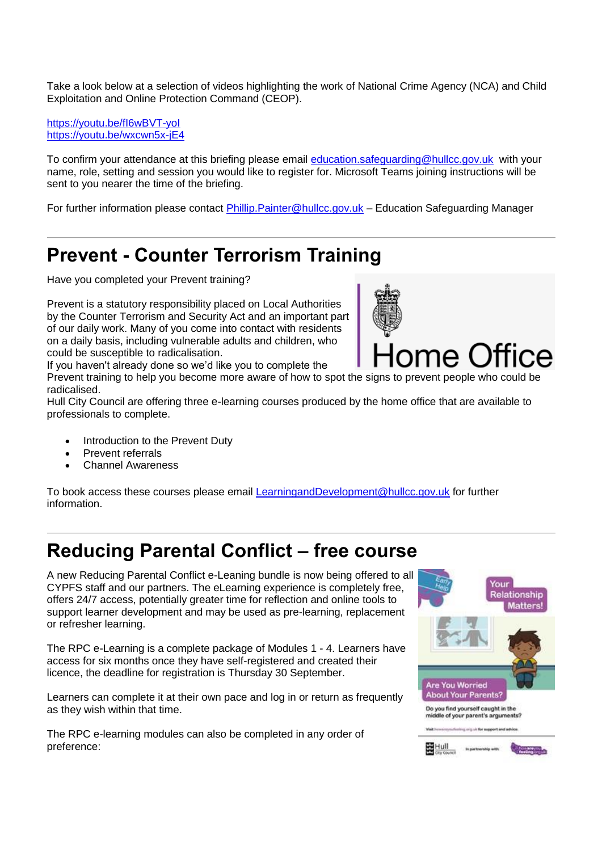Take a look below at a selection of videos highlighting the work of National Crime Agency (NCA) and Child Exploitation and Online Protection Command (CEOP).

<https://youtu.be/fI6wBVT-yoI> <https://youtu.be/wxcwn5x-jE4>

To confirm your attendance at this briefing please email [education.safeguarding@hullcc.gov.uk](mailto:education.safeguarding@hullcc.gov.uk) with your name, role, setting and session you would like to register for. Microsoft Teams joining instructions will be sent to you nearer the time of the briefing.

For further information please contact [Phillip.Painter@hullcc.gov.uk](mailto:Phillip.Painter@hullcc.gov.uk) – Education Safeguarding Manager

#### **Prevent - Counter Terrorism Training**

Have you completed your Prevent training?

Prevent is a statutory responsibility placed on Local Authorities by the Counter Terrorism and Security Act and an important part of our daily work. Many of you come into contact with residents on a daily basis, including vulnerable adults and children, who could be susceptible to radicalisation.

If you haven't already done so we'd like you to complete the

Prevent training to help you become more aware of how to spot the signs to prevent people who could be radicalised.

Hull City Council are offering three e-learning courses produced by the home office that are available to professionals to complete.

- Introduction to the Prevent Duty
- Prevent referrals
- Channel Awareness

To book access these courses please email [LearningandDevelopment@hullcc.gov.uk](mailto:LearningandDevelopment@hullcc.gov.uk) for further information.

## **Reducing Parental Conflict – free course**

A new Reducing Parental Conflict e-Leaning bundle is now being offered to all CYPFS staff and our partners. The eLearning experience is completely free, offers 24/7 access, potentially greater time for reflection and online tools to support learner development and may be used as pre-learning, replacement or refresher learning.

The RPC e-Learning is a complete package of Modules 1 - 4. Learners have access for six months once they have self-registered and created their licence, the deadline for registration is Thursday 30 September.

Learners can complete it at their own pace and log in or return as frequently as they wish within that time.

The RPC e-learning modules can also be completed in any order of preference:



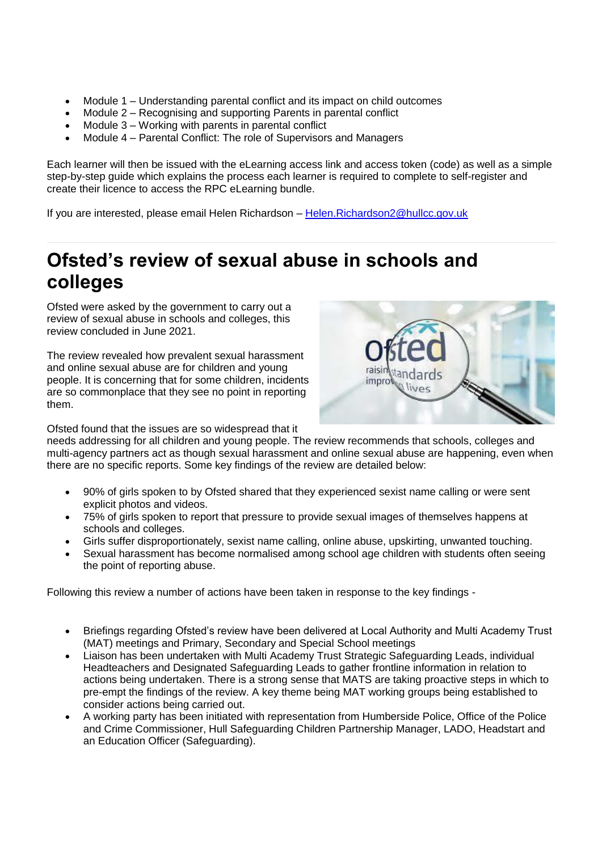- Module 1 Understanding parental conflict and its impact on child outcomes
- Module 2 Recognising and supporting Parents in parental conflict
- Module 3 Working with parents in parental conflict
- Module 4 Parental Conflict: The role of Supervisors and Managers

Each learner will then be issued with the eLearning access link and access token (code) as well as a simple step-by-step guide which explains the process each learner is required to complete to self-register and create their licence to access the RPC eLearning bundle.

If you are interested, please email Helen Richardson - Helen. Richardson2@hullcc.gov.uk

## **Ofsted's review of sexual abuse in schools and colleges**

Ofsted were asked by the government to carry out a review of sexual abuse in schools and colleges, this review concluded in June 2021.

The review revealed how prevalent sexual harassment and online sexual abuse are for children and young people. It is concerning that for some children, incidents are so commonplace that they see no point in reporting them.



Ofsted found that the issues are so widespread that it

needs addressing for all children and young people. The review recommends that schools, colleges and multi-agency partners act as though sexual harassment and online sexual abuse are happening, even when there are no specific reports. Some key findings of the review are detailed below:

- 90% of girls spoken to by Ofsted shared that they experienced sexist name calling or were sent explicit photos and videos.
- 75% of girls spoken to report that pressure to provide sexual images of themselves happens at schools and colleges.
- Girls suffer disproportionately, sexist name calling, online abuse, upskirting, unwanted touching.
- Sexual harassment has become normalised among school age children with students often seeing the point of reporting abuse.

Following this review a number of actions have been taken in response to the key findings -

- Briefings regarding Ofsted's review have been delivered at Local Authority and Multi Academy Trust (MAT) meetings and Primary, Secondary and Special School meetings
- Liaison has been undertaken with Multi Academy Trust Strategic Safeguarding Leads, individual Headteachers and Designated Safeguarding Leads to gather frontline information in relation to actions being undertaken. There is a strong sense that MATS are taking proactive steps in which to pre-empt the findings of the review. A key theme being MAT working groups being established to consider actions being carried out.
- A working party has been initiated with representation from Humberside Police, Office of the Police and Crime Commissioner, Hull Safeguarding Children Partnership Manager, LADO, Headstart and an Education Officer (Safeguarding).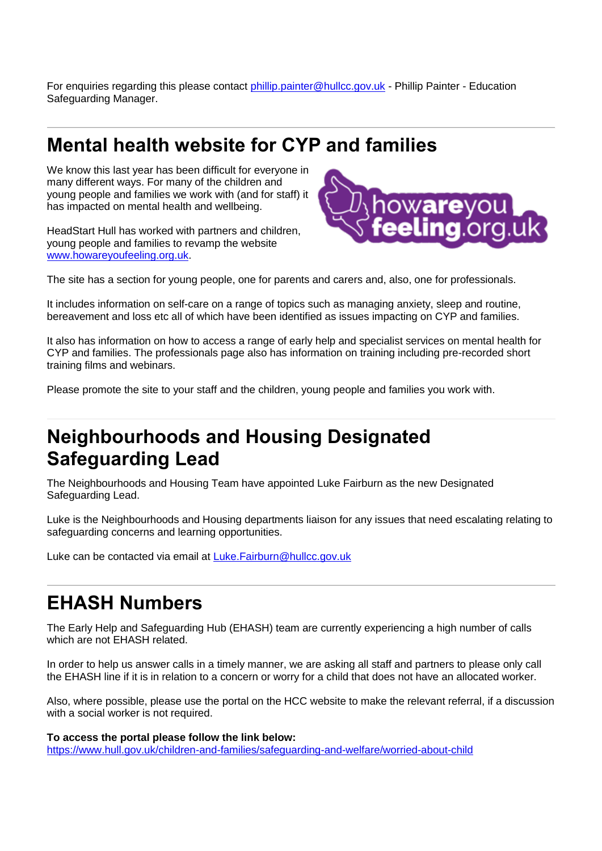For enquiries regarding this please contact [phillip.painter@hullcc.gov.uk](mailto:phillip.painter@hullcc.gov.uk) - Phillip Painter - Education Safeguarding Manager.

#### **Mental health website for CYP and families**

We know this last year has been difficult for everyone in many different ways. For many of the children and young people and families we work with (and for staff) it has impacted on mental health and wellbeing.

HeadStart Hull has worked with partners and children, young people and families to revamp the website [www.howareyoufeeling.org.uk.](http://www.howareyoufeeling.org.uk/)



The site has a section for young people, one for parents and carers and, also, one for professionals.

It includes information on self-care on a range of topics such as managing anxiety, sleep and routine, bereavement and loss etc all of which have been identified as issues impacting on CYP and families.

It also has information on how to access a range of early help and specialist services on mental health for CYP and families. The professionals page also has information on training including pre-recorded short training films and webinars.

Please promote the site to your staff and the children, young people and families you work with.

## **Neighbourhoods and Housing Designated Safeguarding Lead**

The Neighbourhoods and Housing Team have appointed Luke Fairburn as the new Designated Safeguarding Lead.

Luke is the Neighbourhoods and Housing departments liaison for any issues that need escalating relating to safeguarding concerns and learning opportunities.

Luke can be contacted via email at [Luke.Fairburn@hullcc.gov.uk](mailto:Luke.Fairburn@hullcc.gov.uk)

#### **EHASH Numbers**

The Early Help and Safeguarding Hub (EHASH) team are currently experiencing a high number of calls which are not EHASH related.

In order to help us answer calls in a timely manner, we are asking all staff and partners to please only call the EHASH line if it is in relation to a concern or worry for a child that does not have an allocated worker.

Also, where possible, please use the portal on the HCC website to make the relevant referral, if a discussion with a social worker is not required.

**To access the portal please follow the link below:** <https://www.hull.gov.uk/children-and-families/safeguarding-and-welfare/worried-about-child>